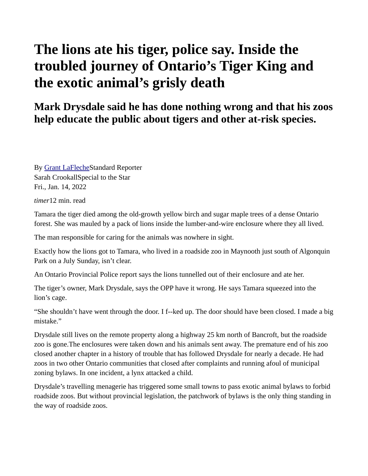## **The lions ate his tiger, police say. Inside the troubled journey of Ontario's Tiger King and the exotic animal's grisly death**

## **Mark Drysdale said he has done nothing wrong and that his zoos help educate the public about tigers and other at-risk species.**

By [Grant LaFlecheS](https://www.thestar.com/authors.lafleche_grant.html)tandard Reporter Sarah CrookallSpecial to the Star Fri., Jan. 14, 2022

*timer*12 min. read

Tamara the tiger died among the old-growth yellow birch and sugar maple trees of a dense Ontario forest. She was mauled by a pack of lions inside the lumber-and-wire enclosure where they all lived.

The man responsible for caring for the animals was nowhere in sight.

Exactly how the lions got to Tamara, who lived in a roadside zoo in Maynooth just south of Algonquin Park on a July Sunday, isn't clear.

An Ontario Provincial Police report says the lions tunnelled out of their enclosure and ate her.

The tiger's owner, Mark Drysdale, says the OPP have it wrong. He says Tamara squeezed into the lion's cage.

"She shouldn't have went through the door. I f--ked up. The door should have been closed. I made a big mistake."

Drysdale still lives on the remote property along a highway 25 km north of Bancroft, but the roadside zoo is gone.The enclosures were taken down and his animals sent away. The premature end of his zoo closed another chapter in a history of trouble that has followed Drysdale for nearly a decade. He had zoos in two other Ontario communities that closed after complaints and running afoul of municipal zoning bylaws. In one incident, a lynx attacked a child.

Drysdale's travelling menagerie has triggered some small towns to pass exotic animal bylaws to forbid roadside zoos. But without provincial legislation, the patchwork of bylaws is the only thing standing in the way of roadside zoos.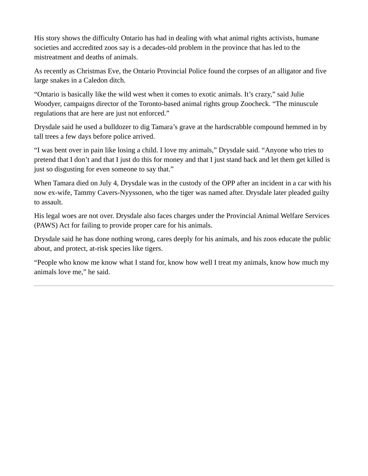His story shows the difficulty Ontario has had in dealing with what animal rights activists, humane societies and accredited zoos say is a decades-old problem in the province that has led to the mistreatment and deaths of animals.

As recently as Christmas Eve, the Ontario Provincial Police found the corpses of an alligator and five large snakes in a Caledon ditch.

"Ontario is basically like the wild west when it comes to exotic animals. It's crazy," said Julie Woodyer, campaigns director of the Toronto-based animal rights group Zoocheck. "The minuscule regulations that are here are just not enforced."

Drysdale said he used a bulldozer to dig Tamara's grave at the hardscrabble compound hemmed in by tall trees a few days before police arrived.

"I was bent over in pain like losing a child. I love my animals," Drysdale said. "Anyone who tries to pretend that I don't and that I just do this for money and that I just stand back and let them get killed is just so disgusting for even someone to say that."

When Tamara died on July 4, Drysdale was in the custody of the OPP after an incident in a car with his now ex-wife, Tammy Cavers-Nyyssonen, who the tiger was named after. Drysdale later pleaded guilty to assault.

His legal woes are not over. Drysdale also faces charges under the Provincial Animal Welfare Services (PAWS) Act for failing to provide proper care for his animals.

Drysdale said he has done nothing wrong, cares deeply for his animals, and his zoos educate the public about, and protect, at-risk species like tigers.

"People who know me know what I stand for, know how well I treat my animals, know how much my animals love me," he said.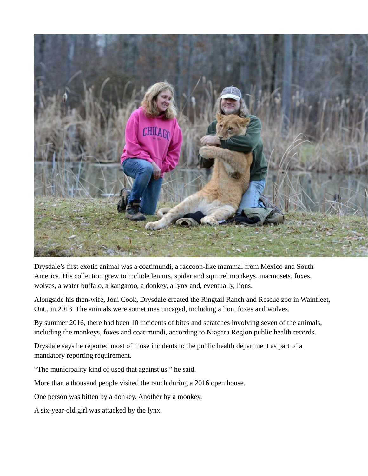

Drysdale's first exotic animal was a coatimundi, a raccoon-like mammal from Mexico and South America. His collection grew to include lemurs, spider and squirrel monkeys, marmosets, foxes, wolves, a water buffalo, a kangaroo, a donkey, a lynx and, eventually, lions.

Alongside his then-wife, Joni Cook, Drysdale created the Ringtail Ranch and Rescue zoo in Wainfleet, Ont., in 2013. The animals were sometimes uncaged, including a lion, foxes and wolves.

By summer 2016, there had been 10 incidents of bites and scratches involving seven of the animals, including the monkeys, foxes and coatimundi, according to Niagara Region public health records.

Drysdale says he reported most of those incidents to the public health department as part of a mandatory reporting requirement.

"The municipality kind of used that against us," he said.

More than a thousand people visited the ranch during a 2016 open house.

One person was bitten by a donkey. Another by a monkey.

A six-year-old girl was attacked by the lynx.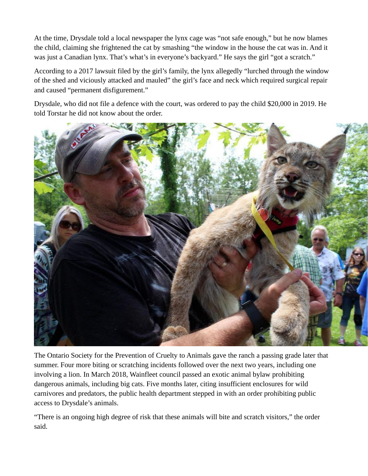At the time, Drysdale told a local newspaper the lynx cage was "not safe enough," but he now blames the child, claiming she frightened the cat by smashing "the window in the house the cat was in. And it was just a Canadian lynx. That's what's in everyone's backyard." He says the girl "got a scratch."

According to a 2017 lawsuit filed by the girl's family, the lynx allegedly "lurched through the window of the shed and viciously attacked and mauled" the girl's face and neck which required surgical repair and caused "permanent disfigurement."

Drysdale, who did not file a defence with the court, was ordered to pay the child \$20,000 in 2019. He told Torstar he did not know about the order.



The Ontario Society for the Prevention of Cruelty to Animals gave the ranch a passing grade later that summer. Four more biting or scratching incidents followed over the next two years, including one involving a lion. In March 2018, Wainfleet council passed an exotic animal bylaw prohibiting dangerous animals, including big cats. Five months later, citing insufficient enclosures for wild carnivores and predators, the public health department stepped in with an order prohibiting public access to Drysdale's animals.

"There is an ongoing high degree of risk that these animals will bite and scratch visitors," the order said.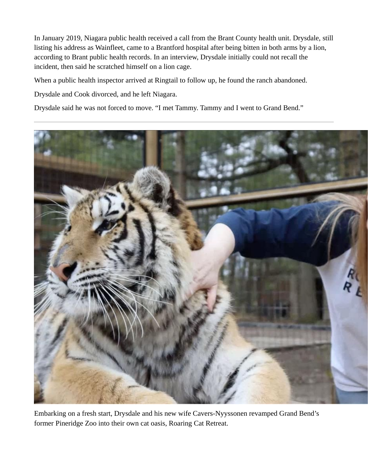In January 2019, Niagara public health received a call from the Brant County health unit. Drysdale, still listing his address as Wainfleet, came to a Brantford hospital after being bitten in both arms by a lion, according to Brant public health records. In an interview, Drysdale initially could not recall the incident, then said he scratched himself on a lion cage.

When a public health inspector arrived at Ringtail to follow up, he found the ranch abandoned.

Drysdale and Cook divorced, and he left Niagara.

Drysdale said he was not forced to move. "I met Tammy. Tammy and I went to Grand Bend."



Embarking on a fresh start, Drysdale and his new wife Cavers-Nyyssonen revamped Grand Bend's former Pineridge Zoo into their own cat oasis, Roaring Cat Retreat.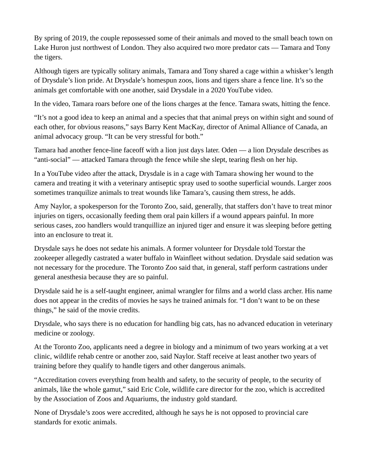By spring of 2019, the couple repossessed some of their animals and moved to the small beach town on Lake Huron just northwest of London. They also acquired two more predator cats — Tamara and Tony the tigers.

Although tigers are typically solitary animals, Tamara and Tony shared a cage within a whisker's length of Drysdale's lion pride. At Drysdale's homespun zoos, lions and tigers share a fence line. It's so the animals get comfortable with one another, said Drysdale in a 2020 YouTube video.

In the video, Tamara roars before one of the lions charges at the fence. Tamara swats, hitting the fence.

"It's not a good idea to keep an animal and a species that that animal preys on within sight and sound of each other, for obvious reasons," says Barry Kent MacKay, director of Animal Alliance of Canada, an animal advocacy group. "It can be very stressful for both."

Tamara had another fence-line faceoff with a lion just days later. Oden — a lion Drysdale describes as "anti-social" — attacked Tamara through the fence while she slept, tearing flesh on her hip.

In a YouTube video after the attack, Drysdale is in a cage with Tamara showing her wound to the camera and treating it with a veterinary antiseptic spray used to soothe superficial wounds. Larger zoos sometimes tranquilize animals to treat wounds like Tamara's, causing them stress, he adds.

Amy Naylor, a spokesperson for the Toronto Zoo, said, generally, that staffers don't have to treat minor injuries on tigers, occasionally feeding them oral pain killers if a wound appears painful. In more serious cases, zoo handlers would tranquillize an injured tiger and ensure it was sleeping before getting into an enclosure to treat it.

Drysdale says he does not sedate his animals. A former volunteer for Drysdale told Torstar the zookeeper allegedly castrated a water buffalo in Wainfleet without sedation. Drysdale said sedation was not necessary for the procedure. The Toronto Zoo said that, in general, staff perform castrations under general anesthesia because they are so painful.

Drysdale said he is a self-taught engineer, animal wrangler for films and a world class archer. His name does not appear in the credits of movies he says he trained animals for. "I don't want to be on these things," he said of the movie credits.

Drysdale, who says there is no education for handling big cats, has no advanced education in veterinary medicine or zoology.

At the Toronto Zoo, applicants need a degree in biology and a minimum of two years working at a vet clinic, wildlife rehab centre or another zoo, said Naylor. Staff receive at least another two years of training before they qualify to handle tigers and other dangerous animals.

"Accreditation covers everything from health and safety, to the security of people, to the security of animals, like the whole gamut," said Eric Cole, wildlife care director for the zoo, which is accredited by the Association of Zoos and Aquariums, the industry gold standard.

None of Drysdale's zoos were accredited, although he says he is not opposed to provincial care standards for exotic animals.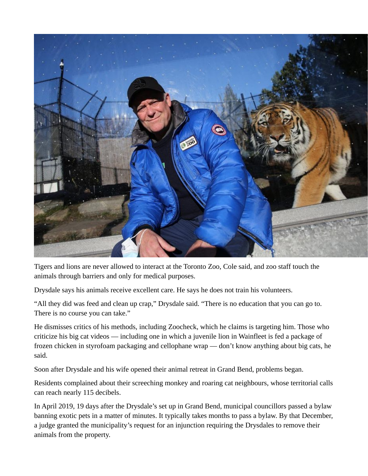

Tigers and lions are never allowed to interact at the Toronto Zoo, Cole said, and zoo staff touch the animals through barriers and only for medical purposes.

Drysdale says his animals receive excellent care. He says he does not train his volunteers.

"All they did was feed and clean up crap," Drysdale said. "There is no education that you can go to. There is no course you can take."

He dismisses critics of his methods, including Zoocheck, which he claims is targeting him. Those who criticize his big cat videos — including one in which a juvenile lion in Wainfleet is fed a package of frozen chicken in styrofoam packaging and cellophane wrap — don't know anything about big cats, he said.

Soon after Drysdale and his wife opened their animal retreat in Grand Bend, problems began.

Residents complained about their screeching monkey and roaring cat neighbours, whose territorial calls can reach nearly 115 decibels.

In April 2019, 19 days after the Drysdale's set up in Grand Bend, municipal councillors passed a bylaw banning exotic pets in a matter of minutes. It typically takes months to pass a bylaw. By that December, a judge granted the municipality's request for an injunction requiring the Drysdales to remove their animals from the property.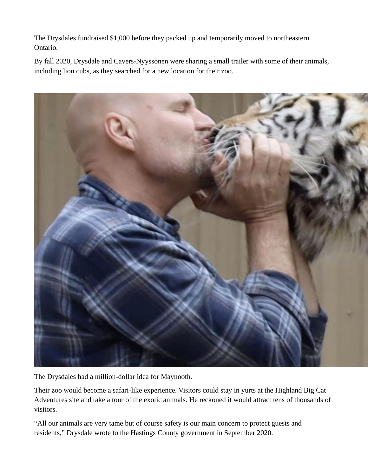The Drysdales fundraised \$1,000 before they packed up and temporarily moved to northeastern Ontario.

By fall 2020, Drysdale and Cavers-Nyyssonen were sharing a small trailer with some of their animals, including lion cubs, as they searched for a new location for their zoo.



The Drysdales had a million-dollar idea for Maynooth.

Their zoo would become a safari-like experience. Visitors could stay in yurts at the Highland Big Cat Adventures site and take a tour of the exotic animals. He reckoned it would attract tens of thousands of visitors.

"All our animals are very tame but of course safety is our main concern to protect guests and residents," Drysdale wrote to the Hastings County government in September 2020.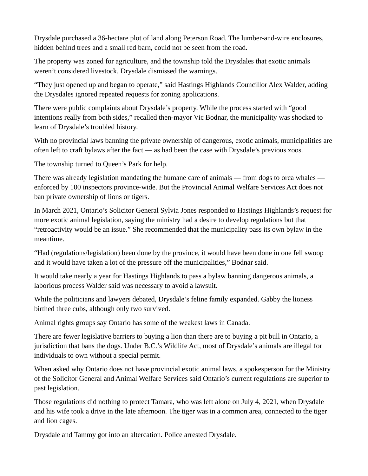Drysdale purchased a 36-hectare plot of land along Peterson Road. The lumber-and-wire enclosures, hidden behind trees and a small red barn, could not be seen from the road.

The property was zoned for agriculture, and the township told the Drysdales that exotic animals weren't considered livestock. Drysdale dismissed the warnings.

"They just opened up and began to operate," said Hastings Highlands Councillor Alex Walder, adding the Drysdales ignored repeated requests for zoning applications.

There were public complaints about Drysdale's property. While the process started with "good intentions really from both sides," recalled then-mayor Vic Bodnar, the municipality was shocked to learn of Drysdale's troubled history.

With no provincial laws banning the private ownership of dangerous, exotic animals, municipalities are often left to craft bylaws after the fact — as had been the case with Drysdale's previous zoos.

The township turned to Queen's Park for help.

There was already legislation mandating the humane care of animals — from dogs to orca whales enforced by 100 inspectors province-wide. But the Provincial Animal Welfare Services Act does not ban private ownership of lions or tigers.

In March 2021, Ontario's Solicitor General Sylvia Jones responded to Hastings Highlands's request for more exotic animal legislation, saying the ministry had a desire to develop regulations but that "retroactivity would be an issue." She recommended that the municipality pass its own bylaw in the meantime.

"Had (regulations/legislation) been done by the province, it would have been done in one fell swoop and it would have taken a lot of the pressure off the municipalities," Bodnar said.

It would take nearly a year for Hastings Highlands to pass a bylaw banning dangerous animals, a laborious process Walder said was necessary to avoid a lawsuit.

While the politicians and lawyers debated, Drysdale's feline family expanded. Gabby the lioness birthed three cubs, although only two survived.

Animal rights groups say Ontario has some of the weakest laws in Canada.

There are fewer legislative barriers to buying a lion than there are to buying a pit bull in Ontario, a jurisdiction that bans the dogs. Under B.C.'s Wildlife Act, most of Drysdale's animals are illegal for individuals to own without a special permit.

When asked why Ontario does not have provincial exotic animal laws, a spokesperson for the Ministry of the Solicitor General and Animal Welfare Services said Ontario's current regulations are superior to past legislation.

Those regulations did nothing to protect Tamara, who was left alone on July 4, 2021, when Drysdale and his wife took a drive in the late afternoon. The tiger was in a common area, connected to the tiger and lion cages.

Drysdale and Tammy got into an altercation. Police arrested Drysdale.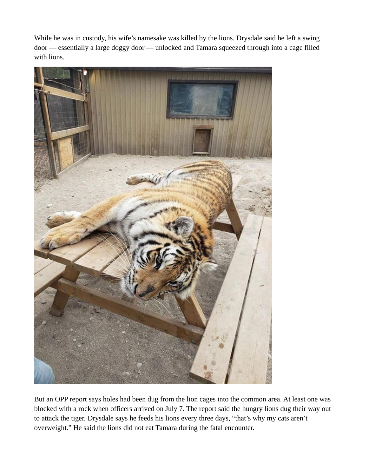While he was in custody, his wife's namesake was killed by the lions. Drysdale said he left a swing door — essentially a large doggy door — unlocked and Tamara squeezed through into a cage filled with lions.



But an OPP report says holes had been dug from the lion cages into the common area. At least one was blocked with a rock when officers arrived on July 7. The report said the hungry lions dug their way out to attack the tiger. Drysdale says he feeds his lions every three days, "that's why my cats aren't overweight." He said the lions did not eat Tamara during the fatal encounter.